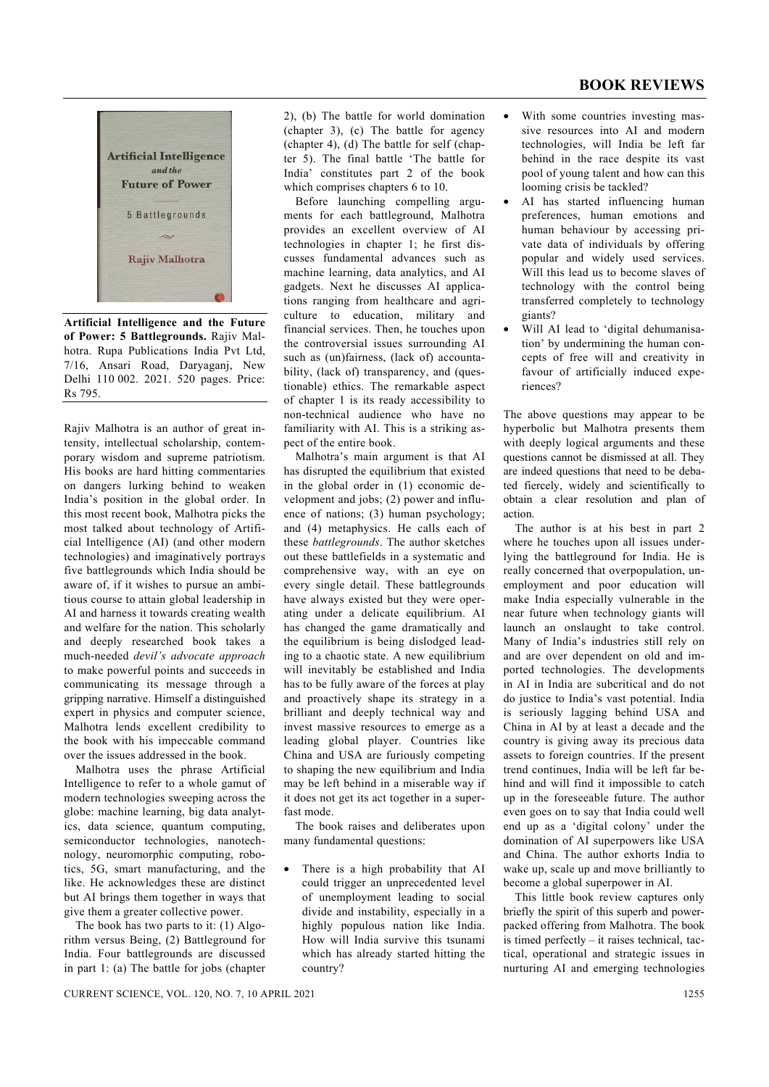## **BOOK REVIEWS**



**Artificial Intelligence and the Future of Power: 5 Battlegrounds.** Rajiv Malhotra. Rupa Publications India Pvt Ltd, 7/16, Ansari Road, Daryaganj, New Delhi 110 002. 2021. 520 pages. Price: Rs 795.

Rajiv Malhotra is an author of great intensity, intellectual scholarship, contemporary wisdom and supreme patriotism. His books are hard hitting commentaries on dangers lurking behind to weaken India's position in the global order. In this most recent book, Malhotra picks the most talked about technology of Artificial Intelligence (AI) (and other modern technologies) and imaginatively portrays five battlegrounds which India should be aware of, if it wishes to pursue an ambitious course to attain global leadership in AI and harness it towards creating wealth and welfare for the nation. This scholarly and deeply researched book takes a much-needed *devil's advocate approach* to make powerful points and succeeds in communicating its message through a gripping narrative. Himself a distinguished expert in physics and computer science, Malhotra lends excellent credibility to the book with his impeccable command over the issues addressed in the book.

 Malhotra uses the phrase Artificial Intelligence to refer to a whole gamut of modern technologies sweeping across the globe: machine learning, big data analytics, data science, quantum computing, semiconductor technologies, nanotechnology, neuromorphic computing, robotics, 5G, smart manufacturing, and the like. He acknowledges these are distinct but AI brings them together in ways that give them a greater collective power.

 The book has two parts to it: (1) Algorithm versus Being, (2) Battleground for India. Four battlegrounds are discussed in part 1: (a) The battle for jobs (chapter 2), (b) The battle for world domination (chapter 3), (c) The battle for agency (chapter 4), (d) The battle for self (chapter 5). The final battle 'The battle for India' constitutes part 2 of the book which comprises chapters 6 to 10.

 Before launching compelling arguments for each battleground, Malhotra provides an excellent overview of AI technologies in chapter 1; he first discusses fundamental advances such as machine learning, data analytics, and AI gadgets. Next he discusses AI applications ranging from healthcare and agriculture to education, military and financial services. Then, he touches upon the controversial issues surrounding AI such as (un)fairness, (lack of) accountability, (lack of) transparency, and (questionable) ethics. The remarkable aspect of chapter 1 is its ready accessibility to non-technical audience who have no familiarity with AI. This is a striking aspect of the entire book.

 Malhotra's main argument is that AI has disrupted the equilibrium that existed in the global order in (1) economic development and jobs; (2) power and influence of nations; (3) human psychology; and (4) metaphysics. He calls each of these *battlegrounds*. The author sketches out these battlefields in a systematic and comprehensive way, with an eye on every single detail. These battlegrounds have always existed but they were operating under a delicate equilibrium. AI has changed the game dramatically and the equilibrium is being dislodged leading to a chaotic state. A new equilibrium will inevitably be established and India has to be fully aware of the forces at play and proactively shape its strategy in a brilliant and deeply technical way and invest massive resources to emerge as a leading global player. Countries like China and USA are furiously competing to shaping the new equilibrium and India may be left behind in a miserable way if it does not get its act together in a superfast mode.

 The book raises and deliberates upon many fundamental questions:

There is a high probability that AI could trigger an unprecedented level of unemployment leading to social divide and instability, especially in a highly populous nation like India. How will India survive this tsunami which has already started hitting the country?

- With some countries investing massive resources into AI and modern technologies, will India be left far behind in the race despite its vast pool of young talent and how can this looming crisis be tackled?
- AI has started influencing human preferences, human emotions and human behaviour by accessing private data of individuals by offering popular and widely used services. Will this lead us to become slaves of technology with the control being transferred completely to technology giants?
- Will AI lead to 'digital dehumanisation' by undermining the human concepts of free will and creativity in favour of artificially induced experiences?

The above questions may appear to be hyperbolic but Malhotra presents them with deeply logical arguments and these questions cannot be dismissed at all. They are indeed questions that need to be debated fiercely, widely and scientifically to obtain a clear resolution and plan of action.

 The author is at his best in part 2 where he touches upon all issues underlying the battleground for India. He is really concerned that overpopulation, unemployment and poor education will make India especially vulnerable in the near future when technology giants will launch an onslaught to take control. Many of India's industries still rely on and are over dependent on old and imported technologies. The developments in AI in India are subcritical and do not do justice to India's vast potential. India is seriously lagging behind USA and China in AI by at least a decade and the country is giving away its precious data assets to foreign countries. If the present trend continues, India will be left far behind and will find it impossible to catch up in the foreseeable future. The author even goes on to say that India could well end up as a 'digital colony' under the domination of AI superpowers like USA and China. The author exhorts India to wake up, scale up and move brilliantly to become a global superpower in AI.

 This little book review captures only briefly the spirit of this superb and powerpacked offering from Malhotra. The book is timed perfectly – it raises technical, tactical, operational and strategic issues in nurturing AI and emerging technologies